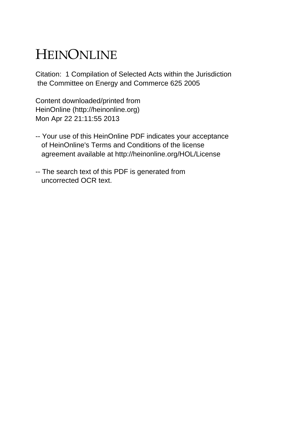## HEINONLINE

Citation: 1 Compilation of Selected Acts within the Jurisdiction the Committee on Energy and Commerce 625 2005

Content downloaded/printed from HeinOnline (http://heinonline.org) Mon Apr 22 21:11:55 2013

- -- Your use of this HeinOnline PDF indicates your acceptance of HeinOnline's Terms and Conditions of the license agreement available at http://heinonline.org/HOL/License
- -- The search text of this PDF is generated from uncorrected OCR text.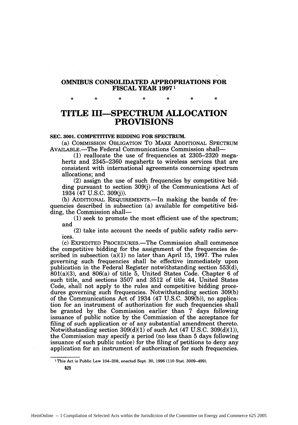## **OMNIBUS CONSOLIDATED APPROPRIATIONS FOR FISCAL YEAR 19971**

**TITLE III-SPECTRUM ALLOCATION PROVISIONS**

## **SEC. 3001.** COMPETITIVE BIDDING FOR **SPECTRUM.**

(a) COMMISSION OBLIGATION To MAKE ADDITIONAL **SPECTRUM** AVAILABLE.-The Federal Communications Commission shall-

**(1)** reallocate the use of frequencies at **2305-2320** megahertz and **2345-2360** megahertz to wireless services that are consistent with international agreements concerning spectrum allocations; and

(2) assign the use of such frequencies **by** competitive bidding pursuant to section **309(j)** of the Communications Act of 1934 (47 **U.S.C. 309(j)).**

**(b)** ADDITIONAL REQUIREMENTS.-In making the bands of frequencies described in subsection (a) available for competitive bidding, the Commission shall—

**(1)** seek to promote the most efficient use of the spectrum; and

(2) take into account the needs of public safety radio services.

(c) EXPEDITED PROCEDURES.-The Commission shall commence the competitive bidding for the assignment of the frequencies described in subsection  $(a)(1)$  no later than April 15, 1997. The rules governing such frequencies shall be effective immediately upon publication in the Federal Register notwithstanding section 553(d), 801(a)(3), and 806(a) of title 5, United States Code. Chapter 6 of such title, and sections 3507 and 3512 of title 44, United States Code, shall not apply to the rules and competitive bidding procedures governing such frequencies. Notwithstanding section 309(b) of the Communications Act of 1934 (47 U.S.C. 309(b)), no application for an instrument of authorization for such frequencies shall be granted by the Commission earlier than 7 days following issuance of public notice by the Commission of the acceptance for filing of such application or of any substantial amendment thereto. Notwithstanding section  $309(d)(1)$  of such Act  $(47 \text{ U.S.C. } 309(d)(1)),$ the Commission may specify a period (no less than 5 days following issuance of such public notice) for the filing of petitions to deny any application for an instrument of authorization for such frequencies.

**625**

<sup>1</sup> This Act is Public Law 104-208, enacted Sept. **30, 1996** (110 Stat. 3009-499).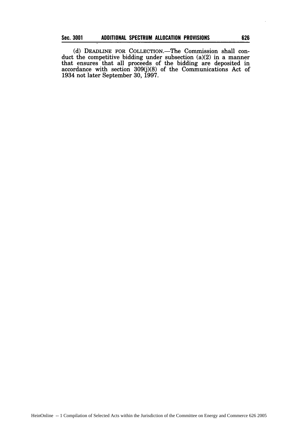(d) DEADLINE FOR COLLECTION.-The Commission shall conduct the competitive bidding under subsection (a)(2) in a manner that ensures that all proceeds of the bidding are deposited in accordance with section 309(j)(8) of the Communications Act of 1934 not later September 30, 1997.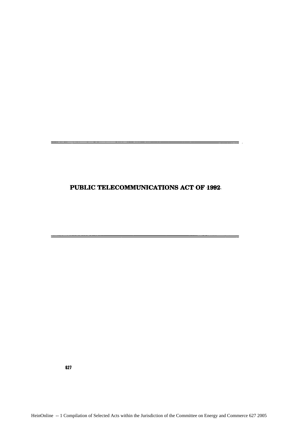## **PUBLIC TELECOMMUNICATIONS ACT:** OF **1992.**

 $\equiv$  .

627